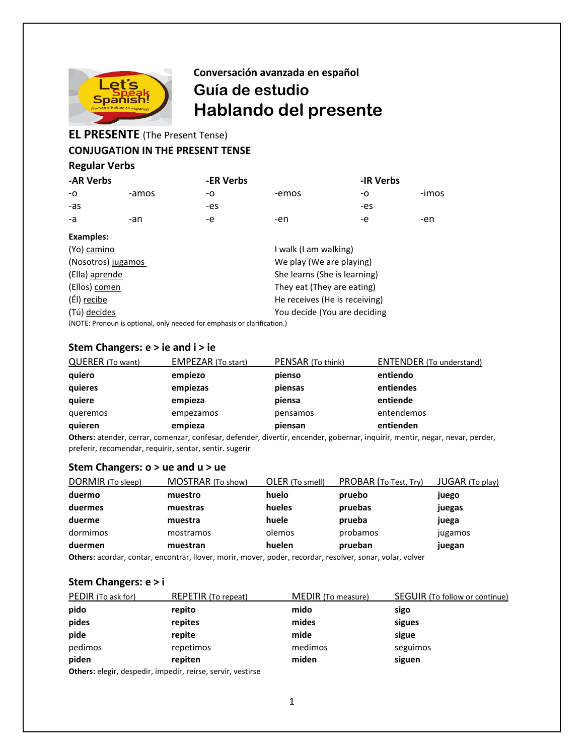

# **Conversación avanzada en español Guía de estudio Hablando del presente**

# **EL PRESENTE** (The Present Tense)

## **CONJUGATION IN THE PRESENT TENSE**

#### **Regular Verbs**

| -AR Verbs |       | -ER Verbs |       | -IR Verbs |       |
|-----------|-------|-----------|-------|-----------|-------|
| -0        | -amos | -0        | -emos | -0        | -imos |
| -as       |       | -es       |       | -es       |       |
| -a        | -an   | -е        | -en   | -е        | -en   |

| Examples:                                                               |                               |
|-------------------------------------------------------------------------|-------------------------------|
| (Yo) camino                                                             | I walk (I am walking)         |
| (Nosotros) jugamos                                                      | We play (We are playing)      |
| (Ella) aprende                                                          | She learns (She is learning)  |
| (Ellos) comen                                                           | They eat (They are eating)    |
| (Él) recibe                                                             | He receives (He is receiving) |
| (Tú) decides                                                            | You decide (You are deciding  |
| (NOTE: Pronoun is optional, only needed for emphasis or clarification.) |                               |

#### **Stem Changers: e > ie and i > ie**

| <b>QUERER (To want)</b> | <b>EMPEZAR (To start)</b> | PENSAR (To think) | <b>ENTENDER</b> (To understand) |
|-------------------------|---------------------------|-------------------|---------------------------------|
| quiero                  | empiezo                   | pienso            | entiendo                        |
| quieres                 | empiezas                  | piensas           | entiendes                       |
| quiere                  | empieza                   | piensa            | entiende                        |
| queremos                | empezamos                 | pensamos          | entendemos                      |
| quieren                 | empieza                   | piensan           | entienden                       |

**Others:** atender, cerrar, comenzar, confesar, defender, divertir, encender, gobernar, inquirir, mentir, negar, nevar, perder, preferir, recomendar, requirir, sentar, sentir. sugerir

### **Stem Changers: o > ue and u > ue**

| DORMIR (To sleep) | MOSTRAR (To show) | OLER (To smell) | PROBAR (To Test, Try) | JUGAR (To play) |
|-------------------|-------------------|-----------------|-----------------------|-----------------|
| duermo            | muestro           | huelo           | pruebo                | juego           |
| duermes           | muestras          | hueles          | pruebas               | juegas          |
| duerme            | muestra           | huele           | prueba                | juega           |
| dormimos          | mostramos         | olemos          | probamos              | jugamos         |
| duermen           | muestran          | huelen          | prueban               | juegan          |
|                   |                   |                 |                       |                 |

**Others:** acordar, contar, encontrar, llover, morir, mover, poder, recordar, resolver, sonar, volar, volver

### **Stem Changers: e > i**

| PEDIR (To ask for) | <b>REPETIR</b> (To repeat)                                 | <b>MEDIR</b> (To measure) | SEGUIR (To follow or continue) |
|--------------------|------------------------------------------------------------|---------------------------|--------------------------------|
| pido               | repito                                                     | mido                      | sigo                           |
| pides              | repites                                                    | mides                     | sigues                         |
| pide               | repite                                                     | mide                      | sigue                          |
| pedimos            | repetimos                                                  | medimos                   | seguimos                       |
| piden              | repiten                                                    | miden                     | siguen                         |
|                    | Others algeix decorative important refers consists unoting |                           |                                |

**Others:** elegir, despedir, impedir, reírse, servir, vestirse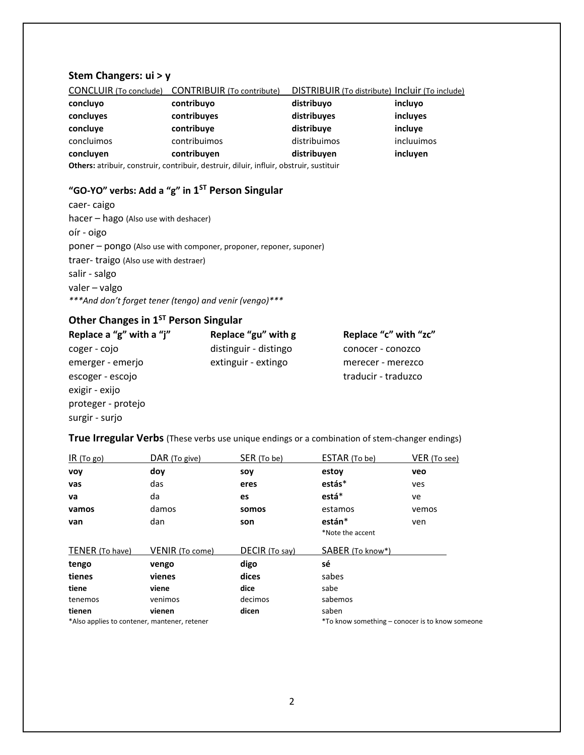## **Stem Changers: ui > y**

| <b>CONCLUIR</b> (To conclude)                                                           | <b>CONTRIBUIR</b> (To contribute) | DISTRIBUIR (To distribute) Incluir (To include) |            |
|-----------------------------------------------------------------------------------------|-----------------------------------|-------------------------------------------------|------------|
| concluyo                                                                                | contribuyo                        | distribuyo                                      | incluyo    |
| concluyes                                                                               | contribuyes                       | distribuyes                                     | incluyes   |
| concluve                                                                                | contribuye                        | distribuye                                      | incluve    |
| concluimos                                                                              | contribuimos                      | distribuimos                                    | incluuimos |
| concluven                                                                               | contribuyen                       | distribuyen                                     | incluyen   |
| Others: atribuir, construir, contribuir, destruir, diluir, influir, obstruir, sustituir |                                   |                                                 |            |

## **"GO-YO" verbs: Add a "g" in 1 ST Person Singular**

caer- caigo hacer – hago (Also use with deshacer) oír - oigo poner – pongo (Also use with componer, proponer, reponer, suponer) traer- traigo (Also use with destraer) salir - salgo valer – valgo *\*\*\*And don't forget tener (tengo) and venir (vengo)\*\*\**

# **Other Changes in 1ST Person Singular**

| Replace a "g" with a "j" | Replace "gu" with g   | Replace "c" with "zc" |
|--------------------------|-----------------------|-----------------------|
| coger - cojo             | distinguir - distingo | conocer - conozco     |
| emerger - emerjo         | extinguir - extingo   | merecer - merezco     |
| escoger - escojo         |                       | traducir - traduzco   |
| exigir - exijo           |                       |                       |
| proteger - protejo       |                       |                       |
| surgir - surjo           |                       |                       |

**True Irregular Verbs** (These verbs use unique endings or a combination of stem-changer endings)

| IR(Togo)                                     | DAR (To give)          | SER (To be)    | ESTAR (To be)    | VER (To see)                                    |
|----------------------------------------------|------------------------|----------------|------------------|-------------------------------------------------|
| <b>VOV</b>                                   | doy                    | soy            | estoy            | veo                                             |
| vas                                          | das                    | eres           | estás*           | ves                                             |
| va                                           | da                     | es             | está*            | ve                                              |
| vamos                                        | damos                  | somos          | estamos          | vemos                                           |
| van                                          | dan                    | son            | están*           | ven                                             |
|                                              |                        |                | *Note the accent |                                                 |
| TENER (To have)                              | <b>VENIR</b> (To come) | DECIR (To say) | SABER (To know*) |                                                 |
| tengo                                        | vengo                  | digo           | sé               |                                                 |
| tienes                                       | vienes                 | dices          | sabes            |                                                 |
| tiene                                        | viene                  | dice           | sabe             |                                                 |
| tenemos                                      | venimos                | decimos        | sabemos          |                                                 |
| tienen                                       | vienen                 | dicen          | saben            |                                                 |
| *Also applies to contener, mantener, retener |                        |                |                  | *To know something – conocer is to know someone |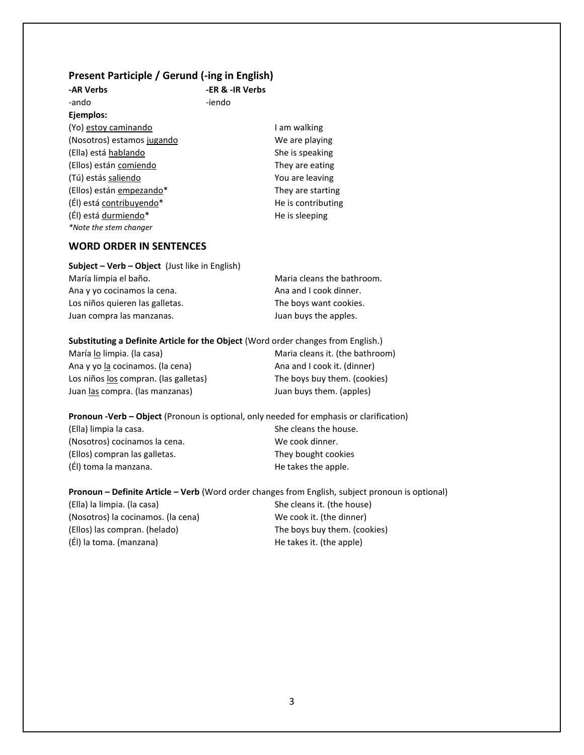#### **Present Participle / Gerund (-ing in English)**

| -AR Verbs                  | -ER & -IR Verbs |                    |
|----------------------------|-----------------|--------------------|
| -ando                      | -iendo          |                    |
| Ejemplos:                  |                 |                    |
| (Yo) estoy caminando       |                 | I am walking       |
| (Nosotros) estamos jugando |                 | We are playing     |
| (Ella) está hablando       |                 | She is speaking    |
| (Ellos) están comiendo     |                 | They are eating    |
| (Tú) estás saliendo        |                 | You are leaving    |
| (Ellos) están empezando*   |                 | They are starting  |
| (Él) está contribuyendo*   |                 | He is contributing |
| (Él) está durmiendo*       |                 | He is sleeping     |
| *Note the stem changer     |                 |                    |

#### **WORD ORDER IN SENTENCES**

| <b>Subject – Verb – Object</b> (Just like in English) |                            |
|-------------------------------------------------------|----------------------------|
| María limpia el baño.                                 | Maria cleans the bathroom. |
| Ana y yo cocinamos la cena.                           | Ana and I cook dinner.     |
| Los niños quieren las galletas.                       | The boys want cookies.     |
| Juan compra las manzanas.                             | Juan buys the apples.      |

**Substituting a Definite Article for the Object** (Word order changes from English.)

Ana y yo la cocinamos. (la cena) Ana and I cook it. (dinner) Los niños los compran. (las galletas) The boys buy them. (cookies) Juan <u>las</u> compra. (las manzanas) Juan buys them. (apples)

María lo limpia. (la casa) Maria cleans it. (the bathroom)

**Pronoun -Verb – Object** (Pronoun is optional, only needed for emphasis or clarification) (Ella) limpia la casa. She cleans the house. (Nosotros) cocinamos la cena. We cook dinner. (Ellos) compran las galletas. They bought cookies (Él) toma la manzana. A many single the takes the apple.

**Pronoun – Definite Article – Verb** (Word order changes from English, subject pronoun is optional) (Ella) la limpia. (la casa) She cleans it. (the house) (Nosotros) la cocinamos. (la cena) We cook it. (the dinner) (Ellos) las compran. (helado) The boys buy them. (cookies) (El) la toma. (manzana) (El) la toma. (manzana)